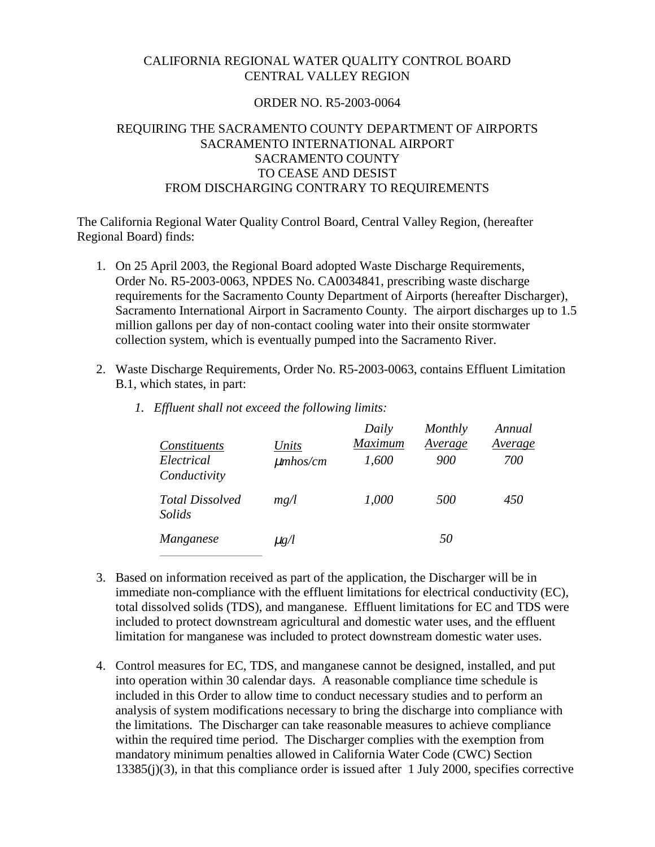#### CALIFORNIA REGIONAL WATER QUALITY CONTROL BOARD CENTRAL VALLEY REGION

#### ORDER NO. R5-2003-0064

# REQUIRING THE SACRAMENTO COUNTY DEPARTMENT OF AIRPORTS SACRAMENTO INTERNATIONAL AIRPORT SACRAMENTO COUNTY TO CEASE AND DESIST FROM DISCHARGING CONTRARY TO REQUIREMENTS

The California Regional Water Quality Control Board, Central Valley Region, (hereafter Regional Board) finds:

- 1. On 25 April 2003, the Regional Board adopted Waste Discharge Requirements, Order No. R5-2003-0063, NPDES No. CA0034841, prescribing waste discharge requirements for the Sacramento County Department of Airports (hereafter Discharger), Sacramento International Airport in Sacramento County. The airport discharges up to 1.5 million gallons per day of non-contact cooling water into their onsite stormwater collection system, which is eventually pumped into the Sacramento River.
- 2. Waste Discharge Requirements, Order No. R5-2003-0063, contains Effluent Limitation B.1, which states, in part:

| Constituents<br>Electrical<br>Conductivity | Units<br>$\mu$ mhos/cm | Daily<br>Maximum<br>1,600 | Monthly<br>Average<br>900 | Annual<br>Average<br>700 |
|--------------------------------------------|------------------------|---------------------------|---------------------------|--------------------------|
| <b>Total Dissolved</b><br>Solids           | mg/l                   | 1,000                     | 500                       | 450                      |
| Manganese                                  | $\mu$ g/l              |                           | 50                        |                          |

*1. Effluent shall not exceed the following limits:* 

- 3. Based on information received as part of the application, the Discharger will be in immediate non-compliance with the effluent limitations for electrical conductivity (EC), total dissolved solids (TDS), and manganese. Effluent limitations for EC and TDS were included to protect downstream agricultural and domestic water uses, and the effluent limitation for manganese was included to protect downstream domestic water uses.
- 4. Control measures for EC, TDS, and manganese cannot be designed, installed, and put into operation within 30 calendar days. A reasonable compliance time schedule is included in this Order to allow time to conduct necessary studies and to perform an analysis of system modifications necessary to bring the discharge into compliance with the limitations. The Discharger can take reasonable measures to achieve compliance within the required time period. The Discharger complies with the exemption from mandatory minimum penalties allowed in California Water Code (CWC) Section 13385(j)(3), in that this compliance order is issued after 1 July 2000, specifies corrective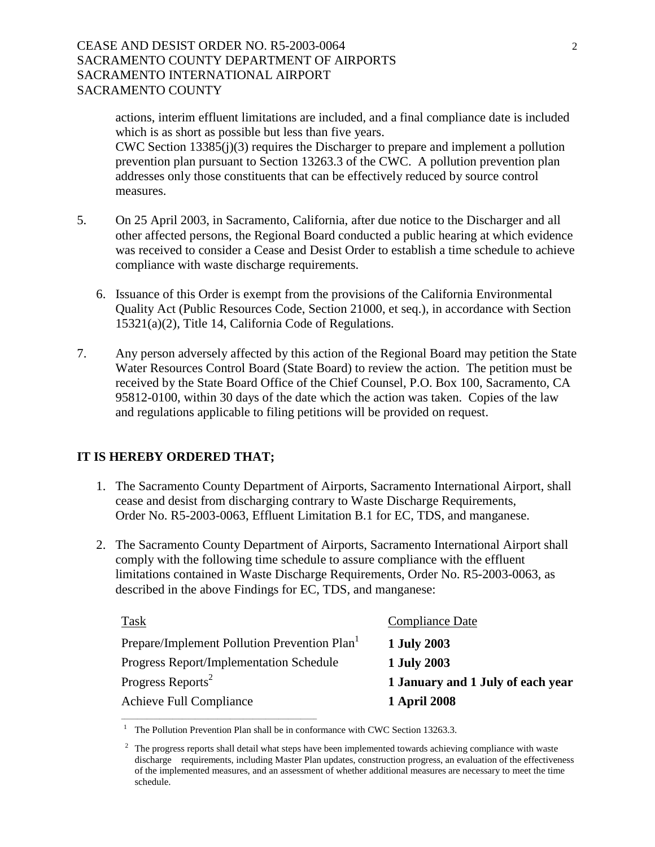## CEASE AND DESIST ORDER NO. R5-2003-0064 2 SACRAMENTO COUNTY DEPARTMENT OF AIRPORTS SACRAMENTO INTERNATIONAL AIRPORT SACRAMENTO COUNTY

actions, interim effluent limitations are included, and a final compliance date is included which is as short as possible but less than five years. CWC Section 13385(j)(3) requires the Discharger to prepare and implement a pollution prevention plan pursuant to Section 13263.3 of the CWC. A pollution prevention plan addresses only those constituents that can be effectively reduced by source control measures.

- 5. On 25 April 2003, in Sacramento, California, after due notice to the Discharger and all other affected persons, the Regional Board conducted a public hearing at which evidence was received to consider a Cease and Desist Order to establish a time schedule to achieve compliance with waste discharge requirements.
	- 6. Issuance of this Order is exempt from the provisions of the California Environmental Quality Act (Public Resources Code, Section 21000, et seq.), in accordance with Section 15321(a)(2), Title 14, California Code of Regulations.
- 7. Any person adversely affected by this action of the Regional Board may petition the State Water Resources Control Board (State Board) to review the action. The petition must be received by the State Board Office of the Chief Counsel, P.O. Box 100, Sacramento, CA 95812-0100, within 30 days of the date which the action was taken. Copies of the law and regulations applicable to filing petitions will be provided on request.

#### **IT IS HEREBY ORDERED THAT;**

- 1. The Sacramento County Department of Airports, Sacramento International Airport, shall cease and desist from discharging contrary to Waste Discharge Requirements, Order No. R5-2003-0063, Effluent Limitation B.1 for EC, TDS, and manganese.
- 2. The Sacramento County Department of Airports, Sacramento International Airport shall comply with the following time schedule to assure compliance with the effluent limitations contained in Waste Discharge Requirements, Order No. R5-2003-0063, as described in the above Findings for EC, TDS, and manganese:

| Task                                                     | <b>Compliance Date</b>            |
|----------------------------------------------------------|-----------------------------------|
| Prepare/Implement Pollution Prevention Plan <sup>1</sup> | 1 July 2003                       |
| Progress Report/Implementation Schedule                  | 1 July 2003                       |
| Progress Reports <sup>2</sup>                            | 1 January and 1 July of each year |
| Achieve Full Compliance                                  | <b>1 April 2008</b>               |

The Pollution Prevention Plan shall be in conformance with CWC Section 13263.3.

\_\_\_\_\_\_\_\_\_\_\_\_\_\_\_\_\_\_\_\_\_\_\_\_\_\_\_\_\_\_\_\_\_\_\_\_\_\_\_\_\_\_\_\_\_\_\_\_\_\_\_\_\_\_\_\_\_\_\_\_\_

 <sup>2</sup> The progress reports shall detail what steps have been implemented towards achieving compliance with waste discharge requirements, including Master Plan updates, construction progress, an evaluation of the effectiveness of the implemented measures, and an assessment of whether additional measures are necessary to meet the time schedule.